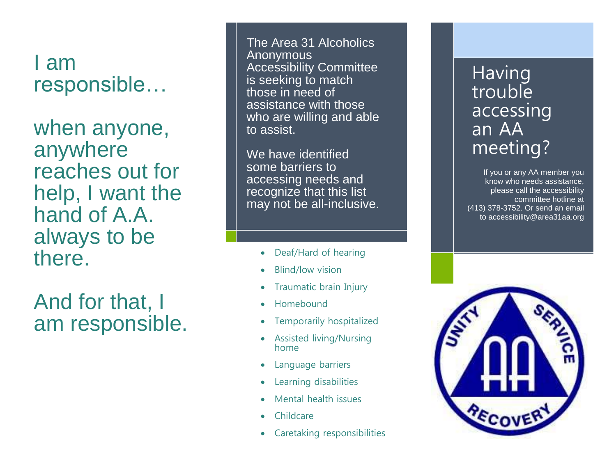I am responsible…

when anyone, anywhere reaches out for help, I want the hand of A.A. always to be there.

And for that, I am responsible.

The Area 31 Alcoholics Anonymous Accessibility Committee is seeking to match those in need of assistance with those who are willing and able to assist.

We have identified some barriers to accessing needs and recognize that this list may not be all -inclusive.

- Deaf/Hard of hearing
- Blind/low vision
- Traumatic brain Injury
- Homebound
- Temporarily hospitalized
- Assisted living/Nursing home
- Language barriers
- Learning disabilities
- Mental health issues
- Childcare
- Caretaking responsibilities

## **Having trouble** accessing an AA meeting?

If you or any AA member you know who needs assistance, please call the accessibility committee hotline at (413) 378 -3752. Or send an email to accessibility@area31aa.org